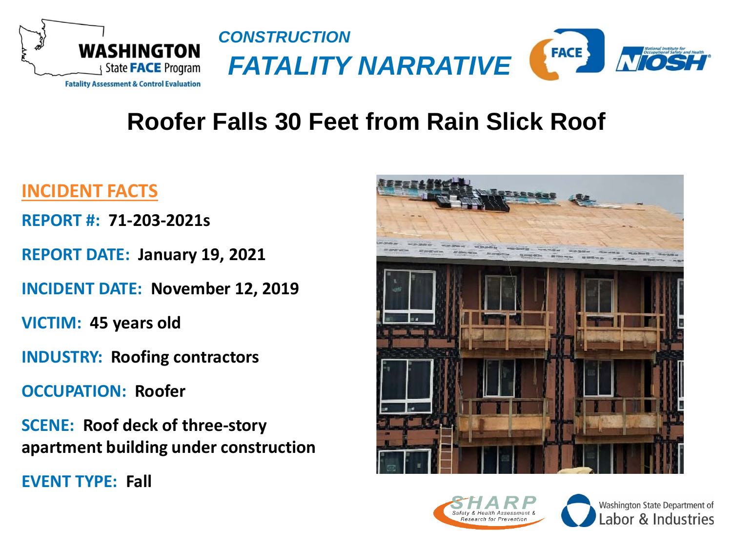



### **Roofer Falls 30 Feet from Rain Slick Roof**

#### **INCIDENT FACTS**

**REPORT #: 71-203-2021s**

**REPORT DATE: January 19, 2021**

**INCIDENT DATE: November 12, 2019**

**VICTIM: 45 years old**

**INDUSTRY: Roofing contractors**

**OCCUPATION: Roofer**

**SCENE: Roof deck of three-story apartment building under construction**

**EVENT TYPE: Fall**





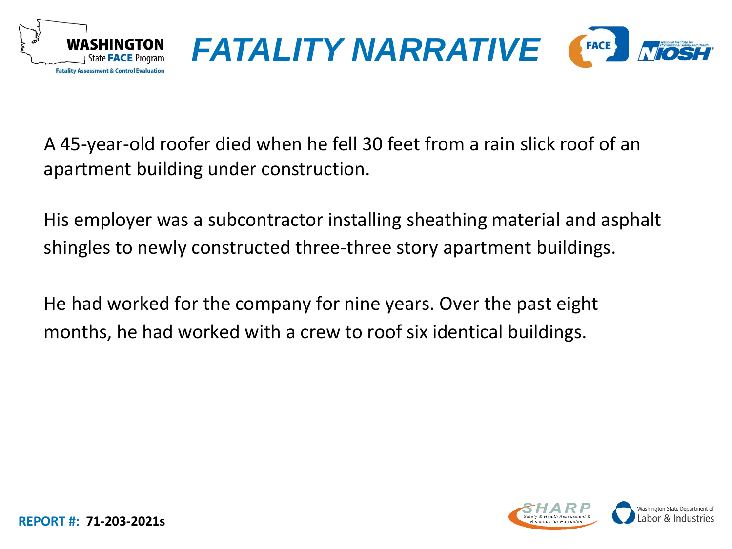



A 45-year-old roofer died when he fell 30 feet from a rain slick roof of an apartment building under construction.

His employer was a subcontractor installing sheathing material and asphalt shingles to newly constructed three-three story apartment buildings.

He had worked for the company for nine years. Over the past eight months, he had worked with a crew to roof six identical buildings.

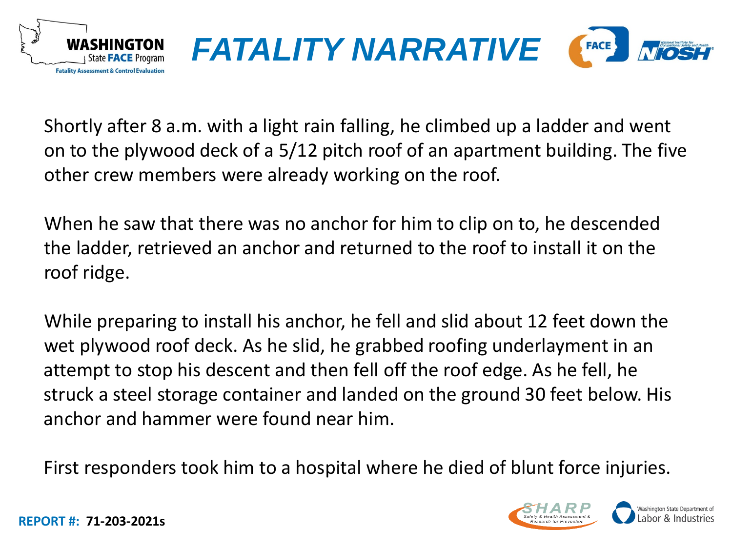



Shortly after 8 a.m. with a light rain falling, he climbed up a ladder and went on to the plywood deck of a 5/12 pitch roof of an apartment building. The five other crew members were already working on the roof.

When he saw that there was no anchor for him to clip on to, he descended the ladder, retrieved an anchor and returned to the roof to install it on the roof ridge.

While preparing to install his anchor, he fell and slid about 12 feet down the wet plywood roof deck. As he slid, he grabbed roofing underlayment in an attempt to stop his descent and then fell off the roof edge. As he fell, he struck a steel storage container and landed on the ground 30 feet below. His anchor and hammer were found near him.

First responders took him to a hospital where he died of blunt force injuries.

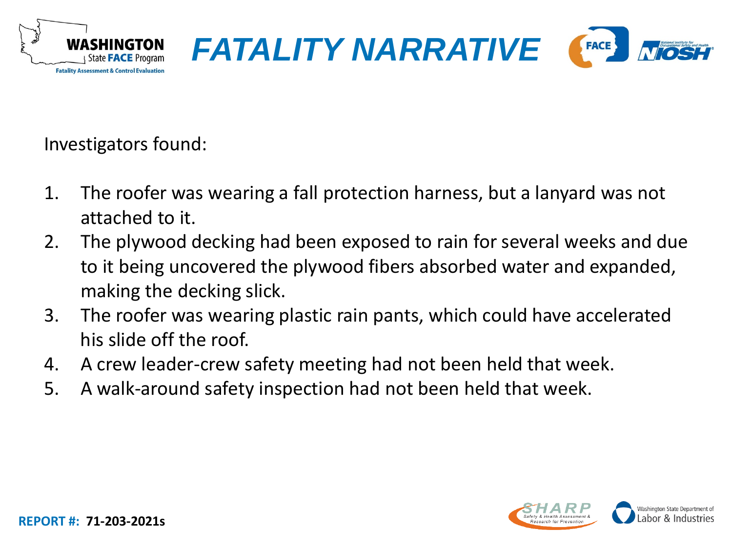



Investigators found:

- 1. The roofer was wearing a fall protection harness, but a lanyard was not attached to it.
- 2. The plywood decking had been exposed to rain for several weeks and due to it being uncovered the plywood fibers absorbed water and expanded, making the decking slick.
- 3. The roofer was wearing plastic rain pants, which could have accelerated his slide off the roof.
- 4. A crew leader-crew safety meeting had not been held that week.
- 5. A walk-around safety inspection had not been held that week.

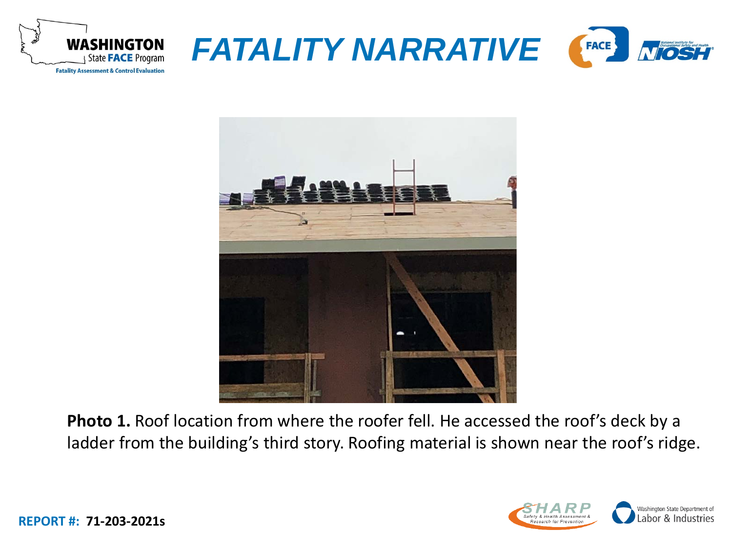





**Photo 1.** Roof location from where the roofer fell. He accessed the roof's deck by a ladder from the building's third story. Roofing material is shown near the roof's ridge.

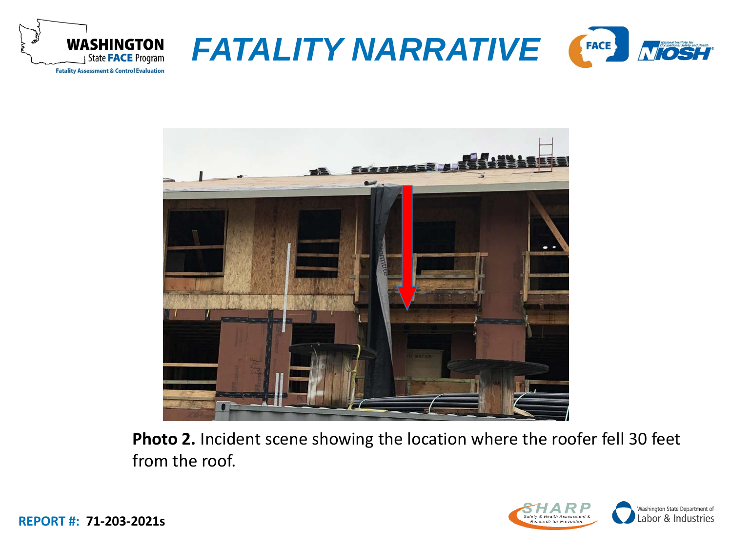





**Photo 2.** Incident scene showing the location where the roofer fell 30 feet from the roof.

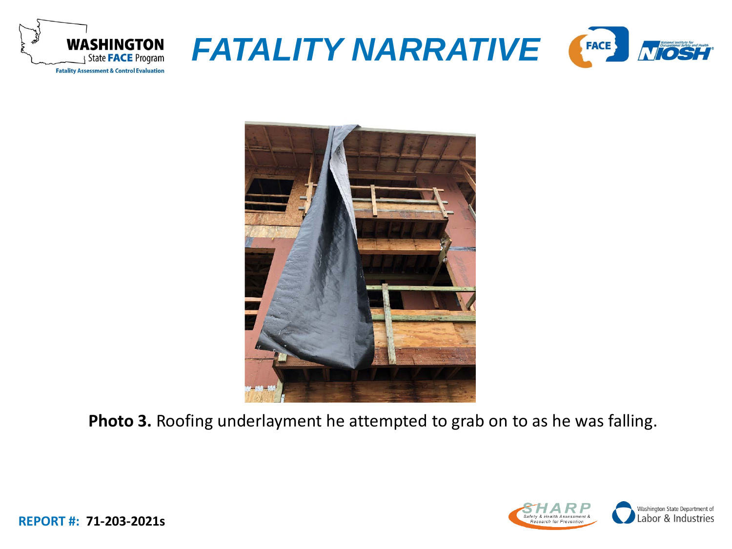





**Photo 3.** Roofing underlayment he attempted to grab on to as he was falling.

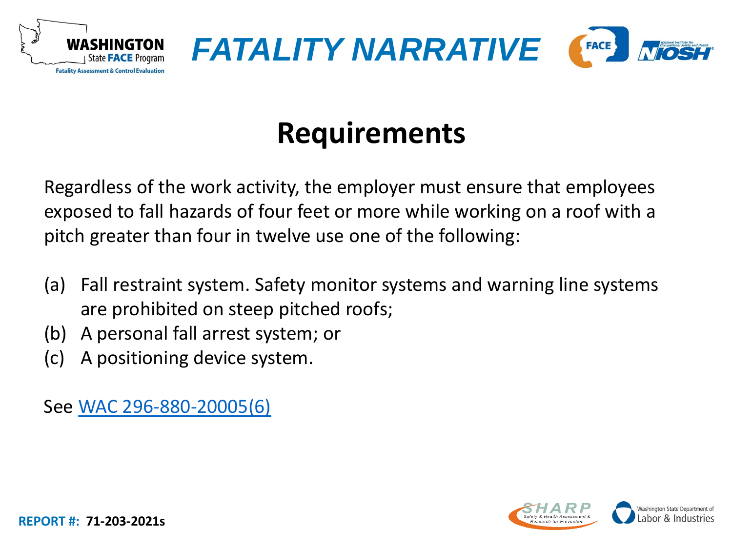



# **Requirements**

Regardless of the work activity, the employer must ensure that employees exposed to fall hazards of four feet or more while working on a roof with a pitch greater than four in twelve use one of the following:

- (a) Fall restraint system. Safety monitor systems and warning line systems are prohibited on steep pitched roofs;
- (b) A personal fall arrest system; or
- (c) A positioning device system.

See [WAC 296-880-20005\(6\)](https://app.leg.wa.gov/wac/default.aspx?cite=296-880-20005)

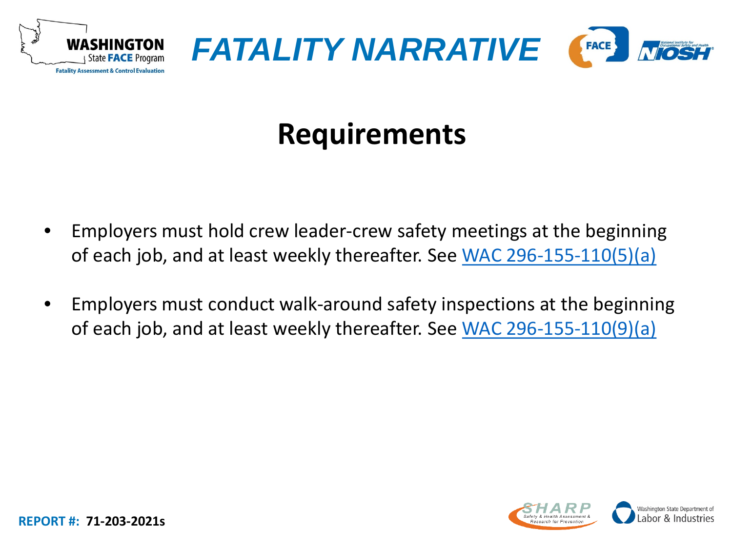



# **Requirements**

- Employers must hold crew leader-crew safety meetings at the beginning of each job, and at least weekly thereafter. See [WAC 296-155-110\(5\)\(a\)](https://app.leg.wa.gov/wac/default.aspx?cite=296-155-110)
- Employers must conduct walk-around safety inspections at the beginning of each job, and at least weekly thereafter. See [WAC 296-155-110\(9\)\(a\)](https://app.leg.wa.gov/wac/default.aspx?cite=296-155-110)

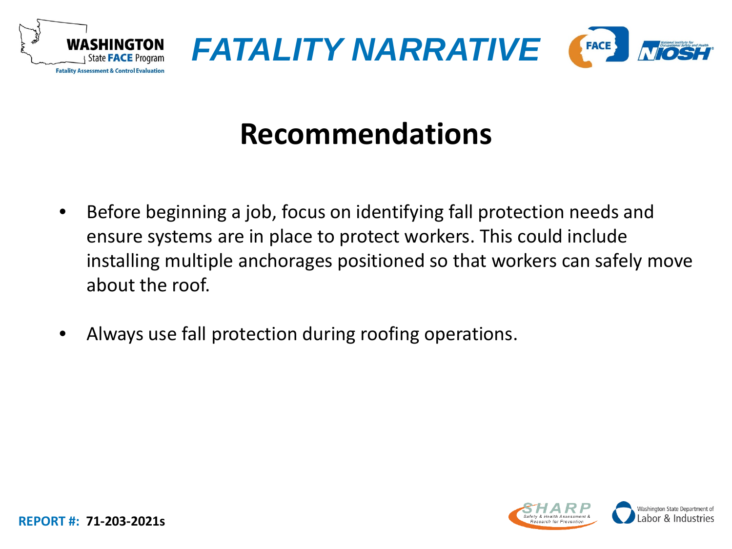



# **Recommendations**

- Before beginning a job, focus on identifying fall protection needs and ensure systems are in place to protect workers. This could include installing multiple anchorages positioned so that workers can safely move about the roof.
- Always use fall protection during roofing operations.